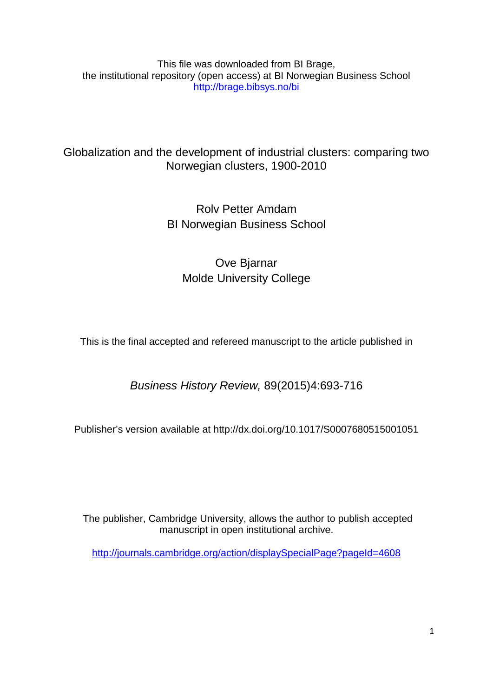This file was downloaded from BI Brage, the institutional repository (open access) at BI Norwegian Business School http://brage.bibsys.no/bi

## Globalization and the development of industrial clusters: comparing two Norwegian clusters, 1900-2010

# Rolv Petter Amdam BI Norwegian Business School

# Ove Bjarnar Molde University College

This is the final accepted and refereed manuscript to the article published in

*Business History Review,* 89(2015)4:693-716

Publisher's version available at http://dx.doi.org[/10.1017/S0007680515001051](http://dx.doi.org/10.1017/S0007680515001051) 

The publisher, Cambridge University, allows the author to publish accepted manuscript in open institutional archive.

<http://journals.cambridge.org/action/displaySpecialPage?pageId=4608>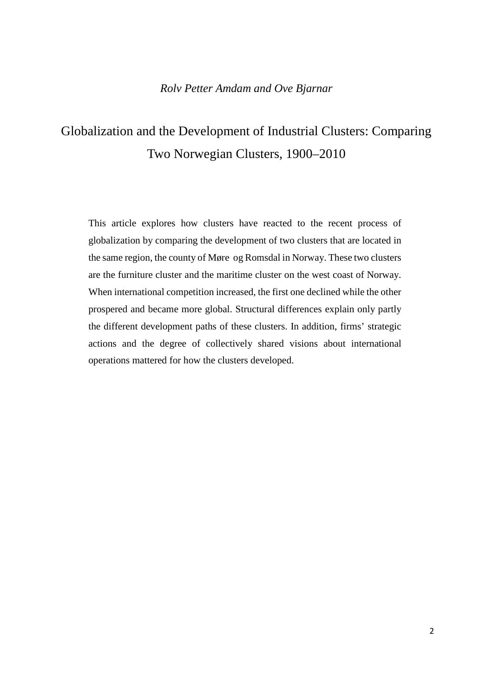## *Rolv Petter Amdam and Ove Bjarnar*

# Globalization and the Development of Industrial Clusters: Comparing Two Norwegian Clusters, 1900–2010

This article explores how clusters have reacted to the recent process of globalization by comparing the development of two clusters that are located in the same region, the county of Møre og Romsdal in Norway. These two clusters are the furniture cluster and the maritime cluster on the west coast of Norway. When international competition increased, the first one declined while the other prospered and became more global. Structural differences explain only partly the different development paths of these clusters. In addition, firms' strategic actions and the degree of collectively shared visions about international operations mattered for how the clusters developed.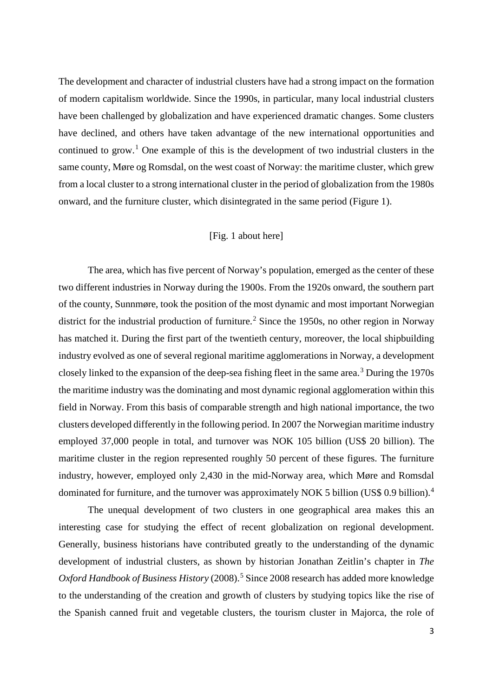The development and character of industrial clusters have had a strong impact on the formation of modern capitalism worldwide. Since the 1990s, in particular, many local industrial clusters have been challenged by globalization and have experienced dramatic changes. Some clusters have declined, and others have taken advantage of the new international opportunities and continued to grow.<sup>[1](#page-21-0)</sup> One example of this is the development of two industrial clusters in the same county, Møre og Romsdal, on the west coast of Norway: the maritime cluster, which grew from a local cluster to a strong international cluster in the period of globalization from the 1980s onward, and the furniture cluster, which disintegrated in the same period (Figure 1).

## [Fig. 1 about here]

The area, which has five percent of Norway's population, emerged as the center of these two different industries in Norway during the 1900s. From the 1920s onward, the southern part of the county, Sunnmøre, took the position of the most dynamic and most important Norwegian district for the industrial production of furniture.<sup>[2](#page-21-1)</sup> Since the 1950s, no other region in Norway has matched it. During the first part of the twentieth century, moreover, the local shipbuilding industry evolved as one of several regional maritime agglomerations in Norway, a development closely linked to the expansion of the deep-sea fishing fleet in the same area. [3](#page-21-2) During the 1970s the maritime industry was the dominating and most dynamic regional agglomeration within this field in Norway. From this basis of comparable strength and high national importance, the two clusters developed differently in the following period. In 2007 the Norwegian maritime industry employed 37,000 people in total, and turnover was NOK 105 billion (US\$ 20 billion). The maritime cluster in the region represented roughly 50 percent of these figures. The furniture industry, however, employed only 2,430 in the mid-Norway area, which Møre and Romsdal dominated for furniture, and the turnover was approximately NOK 5 billion (US\$ 0.9 billion).<sup>[4](#page-21-3)</sup>

The unequal development of two clusters in one geographical area makes this an interesting case for studying the effect of recent globalization on regional development. Generally, business historians have contributed greatly to the understanding of the dynamic development of industrial clusters, as shown by historian Jonathan Zeitlin's chapter in *The Oxford Handbook of Business History* (2008). [5](#page-21-4) Since 2008 research has added more knowledge to the understanding of the creation and growth of clusters by studying topics like the rise of the Spanish canned fruit and vegetable clusters, the tourism cluster in Majorca, the role of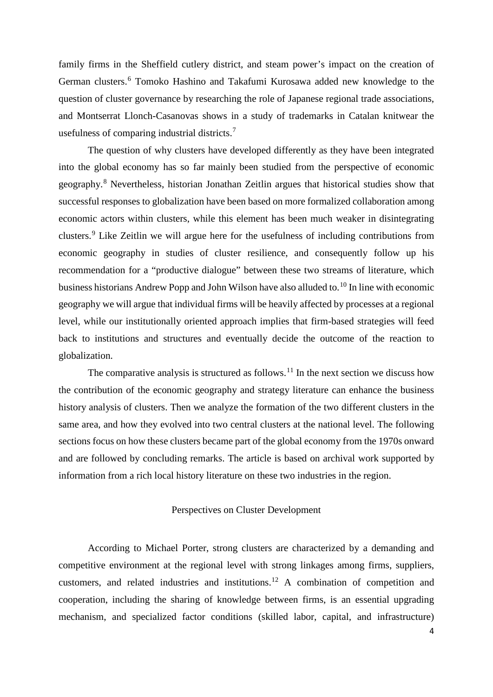family firms in the Sheffield cutlery district, and steam power's impact on the creation of German clusters.<sup>[6](#page-22-0)</sup> Tomoko Hashino and Takafumi Kurosawa added new knowledge to the question of cluster governance by researching the role of Japanese regional trade associations, and Montserrat Llonch-Casanovas shows in a study of trademarks in Catalan knitwear the usefulness of comparing industrial districts.[7](#page-22-1)

The question of why clusters have developed differently as they have been integrated into the global economy has so far mainly been studied from the perspective of economic geography.[8](#page-22-2) Nevertheless, historian Jonathan Zeitlin argues that historical studies show that successful responses to globalization have been based on more formalized collaboration among economic actors within clusters, while this element has been much weaker in disintegrating clusters.[9](#page-22-3) Like Zeitlin we will argue here for the usefulness of including contributions from economic geography in studies of cluster resilience, and consequently follow up his recommendation for a "productive dialogue" between these two streams of literature, which business historians Andrew Popp and John Wilson have also alluded to.<sup>[10](#page-22-4)</sup> In line with economic geography we will argue that individual firms will be heavily affected by processes at a regional level, while our institutionally oriented approach implies that firm-based strategies will feed back to institutions and structures and eventually decide the outcome of the reaction to globalization.

The comparative analysis is structured as follows.<sup>[11](#page-22-5)</sup> In the next section we discuss how the contribution of the economic geography and strategy literature can enhance the business history analysis of clusters. Then we analyze the formation of the two different clusters in the same area, and how they evolved into two central clusters at the national level. The following sections focus on how these clusters became part of the global economy from the 1970s onward and are followed by concluding remarks. The article is based on archival work supported by information from a rich local history literature on these two industries in the region.

#### Perspectives on Cluster Development

According to Michael Porter, strong clusters are characterized by a demanding and competitive environment at the regional level with strong linkages among firms, suppliers, customers, and related industries and institutions.[12](#page-22-6) A combination of competition and cooperation, including the sharing of knowledge between firms, is an essential upgrading mechanism, and specialized factor conditions (skilled labor, capital, and infrastructure)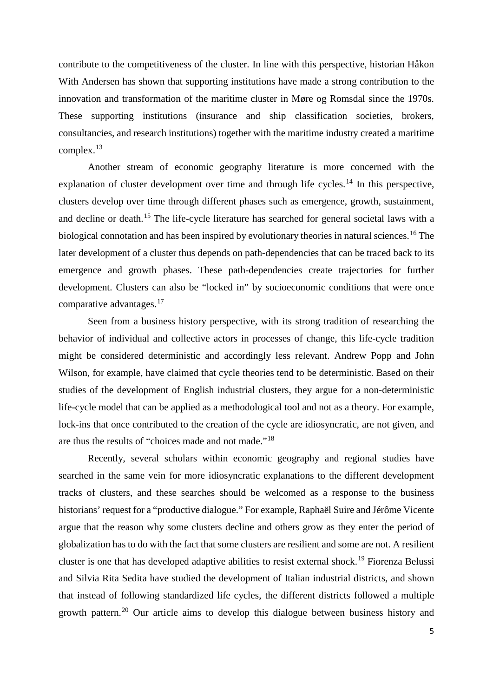contribute to the competitiveness of the cluster. In line with this perspective, historian Håkon With Andersen has shown that supporting institutions have made a strong contribution to the innovation and transformation of the maritime cluster in Møre og Romsdal since the 1970s. These supporting institutions (insurance and ship classification societies, brokers, consultancies, and research institutions) together with the maritime industry created a maritime complex.[13](#page-23-0)

Another stream of economic geography literature is more concerned with the explanation of cluster development over time and through life cycles.<sup>[14](#page-23-1)</sup> In this perspective, clusters develop over time through different phases such as emergence, growth, sustainment, and decline or death.<sup>[15](#page-23-2)</sup> The life-cycle literature has searched for general societal laws with a biological connotation and has been inspired by evolutionary theories in natural sciences.<sup>[16](#page-23-3)</sup> The later development of a cluster thus depends on path-dependencies that can be traced back to its emergence and growth phases. These path-dependencies create trajectories for further development. Clusters can also be "locked in" by socioeconomic conditions that were once comparative advantages.[17](#page-23-4)

Seen from a business history perspective, with its strong tradition of researching the behavior of individual and collective actors in processes of change, this life-cycle tradition might be considered deterministic and accordingly less relevant. Andrew Popp and John Wilson, for example, have claimed that cycle theories tend to be deterministic. Based on their studies of the development of English industrial clusters, they argue for a non-deterministic life-cycle model that can be applied as a methodological tool and not as a theory. For example, lock-ins that once contributed to the creation of the cycle are idiosyncratic, are not given, and are thus the results of "choices made and not made."[18](#page-23-5)

Recently, several scholars within economic geography and regional studies have searched in the same vein for more idiosyncratic explanations to the different development tracks of clusters, and these searches should be welcomed as a response to the business historians' request for a "productive dialogue." For example, Raphaël Suire and Jérôme Vicente argue that the reason why some clusters decline and others grow as they enter the period of globalization has to do with the fact that some clusters are resilient and some are not. A resilient cluster is one that has developed adaptive abilities to resist external shock.[19](#page-23-6) Fiorenza Belussi and Silvia Rita Sedita have studied the development of Italian industrial districts, and shown that instead of following standardized life cycles, the different districts followed a multiple growth pattern.<sup>[20](#page-23-7)</sup> Our article aims to develop this dialogue between business history and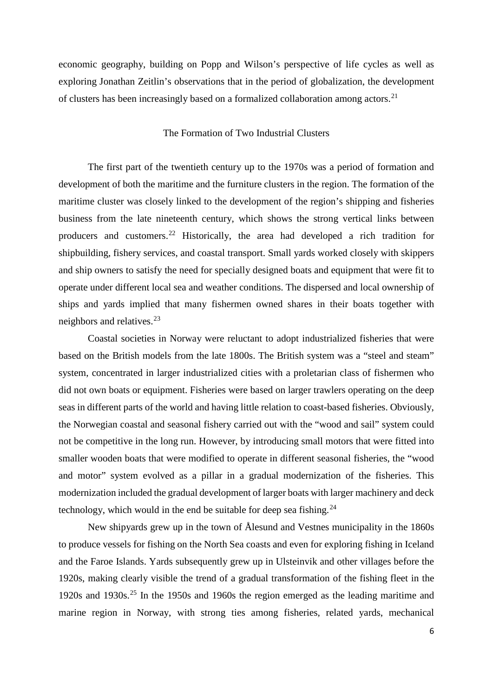economic geography, building on Popp and Wilson's perspective of life cycles as well as exploring Jonathan Zeitlin's observations that in the period of globalization, the development of clusters has been increasingly based on a formalized collaboration among actors.[21](#page-24-0)

### The Formation of Two Industrial Clusters

The first part of the twentieth century up to the 1970s was a period of formation and development of both the maritime and the furniture clusters in the region. The formation of the maritime cluster was closely linked to the development of the region's shipping and fisheries business from the late nineteenth century, which shows the strong vertical links between producers and customers.[22](#page-24-1) Historically, the area had developed a rich tradition for shipbuilding, fishery services, and coastal transport. Small yards worked closely with skippers and ship owners to satisfy the need for specially designed boats and equipment that were fit to operate under different local sea and weather conditions. The dispersed and local ownership of ships and yards implied that many fishermen owned shares in their boats together with neighbors and relatives.[23](#page-24-2)

Coastal societies in Norway were reluctant to adopt industrialized fisheries that were based on the British models from the late 1800s. The British system was a "steel and steam" system, concentrated in larger industrialized cities with a proletarian class of fishermen who did not own boats or equipment. Fisheries were based on larger trawlers operating on the deep seas in different parts of the world and having little relation to coast-based fisheries. Obviously, the Norwegian coastal and seasonal fishery carried out with the "wood and sail" system could not be competitive in the long run. However, by introducing small motors that were fitted into smaller wooden boats that were modified to operate in different seasonal fisheries, the "wood and motor" system evolved as a pillar in a gradual modernization of the fisheries. This modernization included the gradual development of larger boats with larger machinery and deck technology, which would in the end be suitable for deep sea fishing. $^{24}$  $^{24}$  $^{24}$ 

New shipyards grew up in the town of Ålesund and Vestnes municipality in the 1860s to produce vessels for fishing on the North Sea coasts and even for exploring fishing in Iceland and the Faroe Islands. Yards subsequently grew up in Ulsteinvik and other villages before the 1920s, making clearly visible the trend of a gradual transformation of the fishing fleet in the 1920s and 1930s.[25](#page-24-4) In the 1950s and 1960s the region emerged as the leading maritime and marine region in Norway, with strong ties among fisheries, related yards, mechanical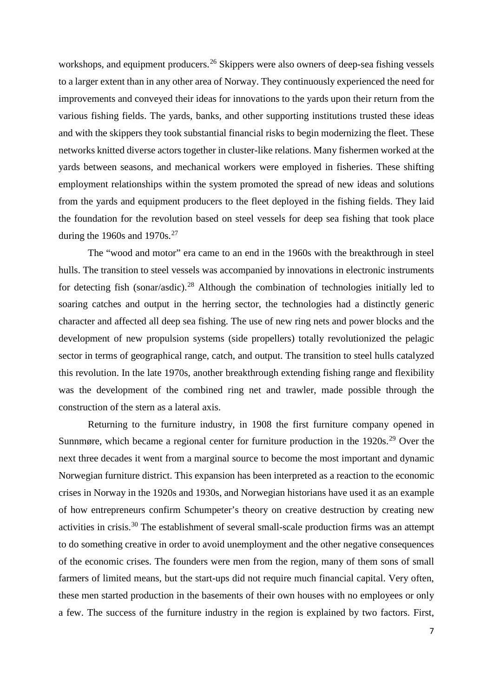workshops, and equipment producers.<sup>[26](#page-25-0)</sup> Skippers were also owners of deep-sea fishing vessels to a larger extent than in any other area of Norway. They continuously experienced the need for improvements and conveyed their ideas for innovations to the yards upon their return from the various fishing fields. The yards, banks, and other supporting institutions trusted these ideas and with the skippers they took substantial financial risks to begin modernizing the fleet. These networks knitted diverse actors together in cluster-like relations. Many fishermen worked at the yards between seasons, and mechanical workers were employed in fisheries. These shifting employment relationships within the system promoted the spread of new ideas and solutions from the yards and equipment producers to the fleet deployed in the fishing fields. They laid the foundation for the revolution based on steel vessels for deep sea fishing that took place during the 1960s and 1970s.<sup>[27](#page-25-1)</sup>

The "wood and motor" era came to an end in the 1960s with the breakthrough in steel hulls. The transition to steel vessels was accompanied by innovations in electronic instruments for detecting fish (sonar/asdic).<sup>[28](#page-25-2)</sup> Although the combination of technologies initially led to soaring catches and output in the herring sector, the technologies had a distinctly generic character and affected all deep sea fishing. The use of new ring nets and power blocks and the development of new propulsion systems (side propellers) totally revolutionized the pelagic sector in terms of geographical range, catch, and output. The transition to steel hulls catalyzed this revolution. In the late 1970s, another breakthrough extending fishing range and flexibility was the development of the combined ring net and trawler, made possible through the construction of the stern as a lateral axis.

Returning to the furniture industry, in 1908 the first furniture company opened in Sunnmøre, which became a regional center for furniture production in the  $1920s$ <sup>[29](#page-25-3)</sup> Over the next three decades it went from a marginal source to become the most important and dynamic Norwegian furniture district. This expansion has been interpreted as a reaction to the economic crises in Norway in the 1920s and 1930s, and Norwegian historians have used it as an example of how entrepreneurs confirm Schumpeter's theory on creative destruction by creating new activities in crisis.[30](#page-25-4) The establishment of several small-scale production firms was an attempt to do something creative in order to avoid unemployment and the other negative consequences of the economic crises. The founders were men from the region, many of them sons of small farmers of limited means, but the start-ups did not require much financial capital. Very often, these men started production in the basements of their own houses with no employees or only a few. The success of the furniture industry in the region is explained by two factors. First,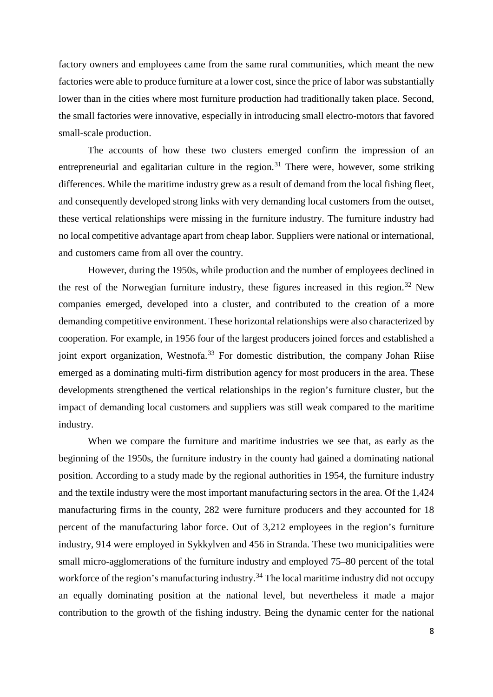factory owners and employees came from the same rural communities, which meant the new factories were able to produce furniture at a lower cost, since the price of labor was substantially lower than in the cities where most furniture production had traditionally taken place. Second, the small factories were innovative, especially in introducing small electro-motors that favored small-scale production.

The accounts of how these two clusters emerged confirm the impression of an entrepreneurial and egalitarian culture in the region.<sup>[31](#page-25-5)</sup> There were, however, some striking differences. While the maritime industry grew as a result of demand from the local fishing fleet, and consequently developed strong links with very demanding local customers from the outset, these vertical relationships were missing in the furniture industry. The furniture industry had no local competitive advantage apart from cheap labor. Suppliers were national or international, and customers came from all over the country.

However, during the 1950s, while production and the number of employees declined in the rest of the Norwegian furniture industry, these figures increased in this region.<sup>[32](#page-25-6)</sup> New companies emerged, developed into a cluster, and contributed to the creation of a more demanding competitive environment. These horizontal relationships were also characterized by cooperation. For example, in 1956 four of the largest producers joined forces and established a joint export organization, Westnofa.<sup>[33](#page-25-7)</sup> For domestic distribution, the company Johan Riise emerged as a dominating multi-firm distribution agency for most producers in the area. These developments strengthened the vertical relationships in the region's furniture cluster, but the impact of demanding local customers and suppliers was still weak compared to the maritime industry.

When we compare the furniture and maritime industries we see that, as early as the beginning of the 1950s, the furniture industry in the county had gained a dominating national position. According to a study made by the regional authorities in 1954, the furniture industry and the textile industry were the most important manufacturing sectors in the area. Of the 1,424 manufacturing firms in the county, 282 were furniture producers and they accounted for 18 percent of the manufacturing labor force. Out of 3,212 employees in the region's furniture industry, 914 were employed in Sykkylven and 456 in Stranda. These two municipalities were small micro-agglomerations of the furniture industry and employed 75–80 percent of the total workforce of the region's manufacturing industry.<sup>[34](#page-25-8)</sup> The local maritime industry did not occupy an equally dominating position at the national level, but nevertheless it made a major contribution to the growth of the fishing industry. Being the dynamic center for the national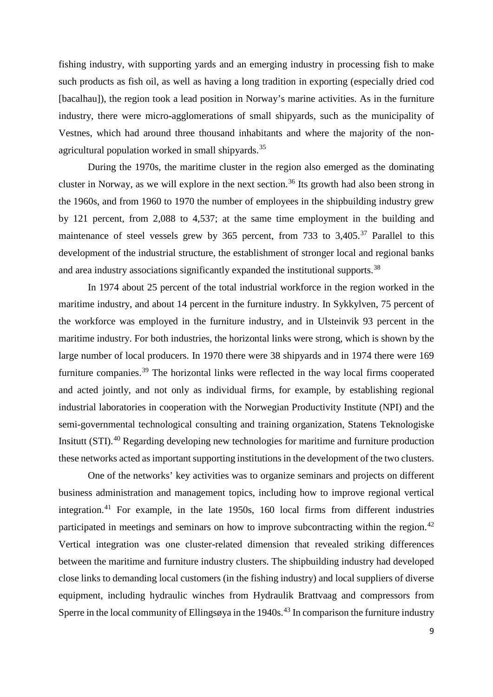fishing industry, with supporting yards and an emerging industry in processing fish to make such products as fish oil, as well as having a long tradition in exporting (especially dried cod [bacalhau]), the region took a lead position in Norway's marine activities. As in the furniture industry, there were micro-agglomerations of small shipyards, such as the municipality of Vestnes, which had around three thousand inhabitants and where the majority of the non-agricultural population worked in small shipyards.<sup>[35](#page-25-9)</sup>

During the 1970s, the maritime cluster in the region also emerged as the dominating cluster in Norway, as we will explore in the next section.<sup>[36](#page-25-10)</sup> Its growth had also been strong in the 1960s, and from 1960 to 1970 the number of employees in the shipbuilding industry grew by 121 percent, from 2,088 to 4,537; at the same time employment in the building and maintenance of steel vessels grew by  $365$  percent, from 733 to  $3,405$ .<sup>[37](#page-25-11)</sup> Parallel to this development of the industrial structure, the establishment of stronger local and regional banks and area industry associations significantly expanded the institutional supports.<sup>[38](#page-25-12)</sup>

In 1974 about 25 percent of the total industrial workforce in the region worked in the maritime industry, and about 14 percent in the furniture industry. In Sykkylven, 75 percent of the workforce was employed in the furniture industry, and in Ulsteinvik 93 percent in the maritime industry. For both industries, the horizontal links were strong, which is shown by the large number of local producers. In 1970 there were 38 shipyards and in 1974 there were 169 furniture companies.<sup>[39](#page-25-13)</sup> The horizontal links were reflected in the way local firms cooperated and acted jointly, and not only as individual firms, for example, by establishing regional industrial laboratories in cooperation with the Norwegian Productivity Institute (NPI) and the semi-governmental technological consulting and training organization, Statens Teknologiske Insitutt (STI).[40](#page-25-14) Regarding developing new technologies for maritime and furniture production these networks acted as important supporting institutions in the development of the two clusters.

One of the networks' key activities was to organize seminars and projects on different business administration and management topics, including how to improve regional vertical integration.[41](#page-25-15) For example, in the late 1950s, 160 local firms from different industries participated in meetings and seminars on how to improve subcontracting within the region.<sup>[42](#page-25-16)</sup> Vertical integration was one cluster-related dimension that revealed striking differences between the maritime and furniture industry clusters. The shipbuilding industry had developed close links to demanding local customers (in the fishing industry) and local suppliers of diverse equipment, including hydraulic winches from Hydraulik Brattvaag and compressors from Sperre in the local community of Ellingsøya in the 1940s.<sup>[43](#page-25-17)</sup> In comparison the furniture industry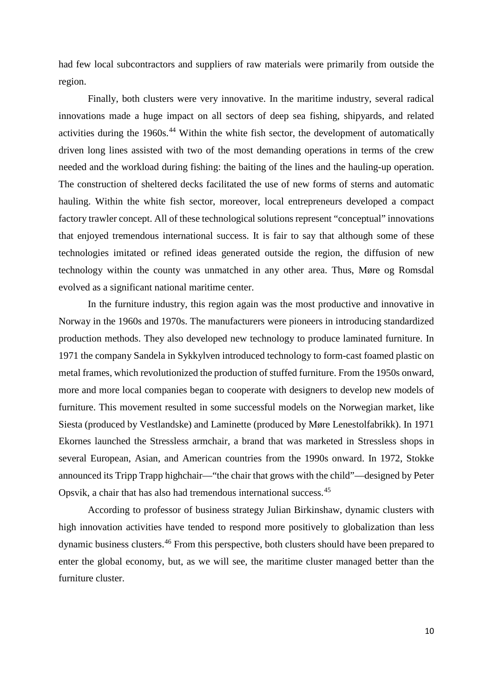had few local subcontractors and suppliers of raw materials were primarily from outside the region.

Finally, both clusters were very innovative. In the maritime industry, several radical innovations made a huge impact on all sectors of deep sea fishing, shipyards, and related activities during the 1960s.<sup>[44](#page-25-18)</sup> Within the white fish sector, the development of automatically driven long lines assisted with two of the most demanding operations in terms of the crew needed and the workload during fishing: the baiting of the lines and the hauling-up operation. The construction of sheltered decks facilitated the use of new forms of sterns and automatic hauling. Within the white fish sector, moreover, local entrepreneurs developed a compact factory trawler concept. All of these technological solutions represent "conceptual" innovations that enjoyed tremendous international success. It is fair to say that although some of these technologies imitated or refined ideas generated outside the region, the diffusion of new technology within the county was unmatched in any other area. Thus, Møre og Romsdal evolved as a significant national maritime center.

In the furniture industry, this region again was the most productive and innovative in Norway in the 1960s and 1970s. The manufacturers were pioneers in introducing standardized production methods. They also developed new technology to produce laminated furniture. In 1971 the company Sandela in Sykkylven introduced technology to form-cast foamed plastic on metal frames, which revolutionized the production of stuffed furniture. From the 1950s onward, more and more local companies began to cooperate with designers to develop new models of furniture. This movement resulted in some successful models on the Norwegian market, like Siesta (produced by Vestlandske) and Laminette (produced by Møre Lenestolfabrikk). In 1971 Ekornes launched the Stressless armchair, a brand that was marketed in Stressless shops in several European, Asian, and American countries from the 1990s onward. In 1972, Stokke announced its Tripp Trapp highchair—"the chair that grows with the child"—designed by Peter Opsvik, a chair that has also had tremendous international success.[45](#page-25-5)

According to professor of business strategy Julian Birkinshaw, dynamic clusters with high innovation activities have tended to respond more positively to globalization than less dynamic business clusters.<sup>[46](#page-25-19)</sup> From this perspective, both clusters should have been prepared to enter the global economy, but, as we will see, the maritime cluster managed better than the furniture cluster.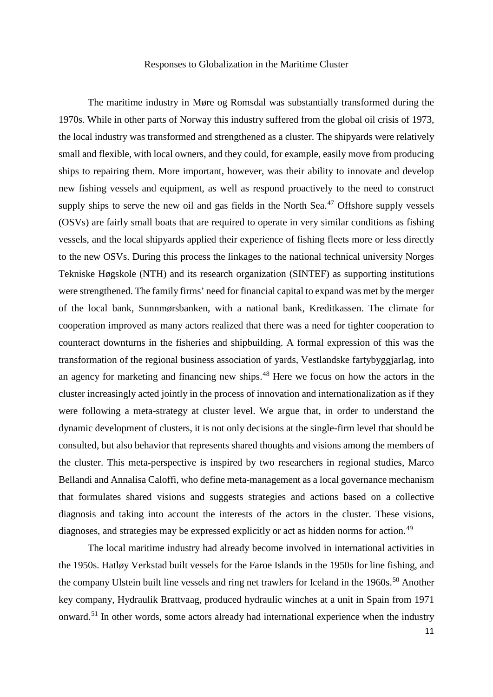#### Responses to Globalization in the Maritime Cluster

The maritime industry in Møre og Romsdal was substantially transformed during the 1970s. While in other parts of Norway this industry suffered from the global oil crisis of 1973, the local industry was transformed and strengthened as a cluster. The shipyards were relatively small and flexible, with local owners, and they could, for example, easily move from producing ships to repairing them. More important, however, was their ability to innovate and develop new fishing vessels and equipment, as well as respond proactively to the need to construct supply ships to serve the new oil and gas fields in the North Sea. $47$  Offshore supply vessels (OSVs) are fairly small boats that are required to operate in very similar conditions as fishing vessels, and the local shipyards applied their experience of fishing fleets more or less directly to the new OSVs. During this process the linkages to the national technical university Norges Tekniske Høgskole (NTH) and its research organization (SINTEF) as supporting institutions were strengthened. The family firms' need for financial capital to expand was met by the merger of the local bank, Sunnmørsbanken, with a national bank, Kreditkassen. The climate for cooperation improved as many actors realized that there was a need for tighter cooperation to counteract downturns in the fisheries and shipbuilding. A formal expression of this was the transformation of the regional business association of yards, Vestlandske fartybyggjarlag, into an agency for marketing and financing new ships.<sup>[48](#page-25-10)</sup> Here we focus on how the actors in the cluster increasingly acted jointly in the process of innovation and internationalization as if they were following a meta-strategy at cluster level. We argue that, in order to understand the dynamic development of clusters, it is not only decisions at the single-firm level that should be consulted, but also behavior that represents shared thoughts and visions among the members of the cluster. This meta-perspective is inspired by two researchers in regional studies, Marco Bellandi and Annalisa Caloffi, who define meta-management as a local governance mechanism that formulates shared visions and suggests strategies and actions based on a collective diagnosis and taking into account the interests of the actors in the cluster. These visions, diagnoses, and strategies may be expressed explicitly or act as hidden norms for action.<sup>[49](#page-25-11)</sup>

The local maritime industry had already become involved in international activities in the 1950s. Hatløy Verkstad built vessels for the Faroe Islands in the 1950s for line fishing, and the company Ulstein built line vessels and ring net trawlers for Iceland in the 1960s.<sup>[50](#page-25-21)</sup> Another key company, Hydraulik Brattvaag, produced hydraulic winches at a unit in Spain from 1971 onward.[51](#page-25-12) In other words, some actors already had international experience when the industry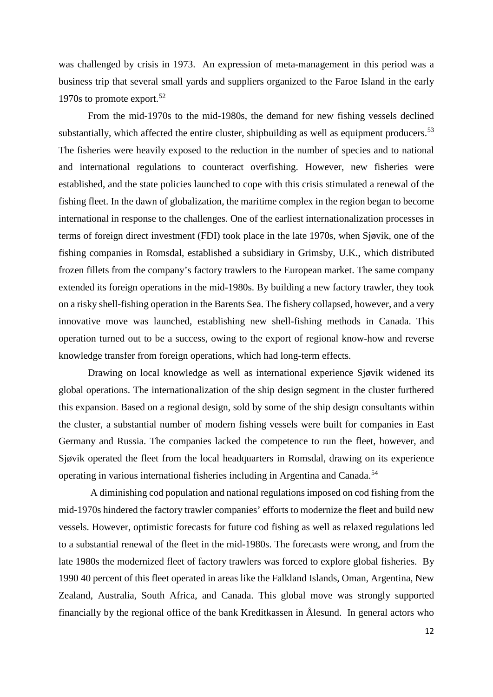was challenged by crisis in 1973. An expression of meta-management in this period was a business trip that several small yards and suppliers organized to the Faroe Island in the early 1970s to promote export.<sup>[52](#page-25-22)</sup>

From the mid-1970s to the mid-1980s, the demand for new fishing vessels declined substantially, which affected the entire cluster, shipbuilding as well as equipment producers.<sup>[53](#page-25-23)</sup> The fisheries were heavily exposed to the reduction in the number of species and to national and international regulations to counteract overfishing. However, new fisheries were established, and the state policies launched to cope with this crisis stimulated a renewal of the fishing fleet. In the dawn of globalization, the maritime complex in the region began to become international in response to the challenges. One of the earliest internationalization processes in terms of foreign direct investment (FDI) took place in the late 1970s, when Sjøvik, one of the fishing companies in Romsdal, established a subsidiary in Grimsby, U.K., which distributed frozen fillets from the company's factory trawlers to the European market. The same company extended its foreign operations in the mid-1980s. By building a new factory trawler, they took on a risky shell-fishing operation in the Barents Sea. The fishery collapsed, however, and a very innovative move was launched, establishing new shell-fishing methods in Canada. This operation turned out to be a success, owing to the export of regional know-how and reverse knowledge transfer from foreign operations, which had long-term effects.

Drawing on local knowledge as well as international experience Sjøvik widened its global operations. The internationalization of the ship design segment in the cluster furthered this expansion. Based on a regional design, sold by some of the ship design consultants within the cluster, a substantial number of modern fishing vessels were built for companies in East Germany and Russia. The companies lacked the competence to run the fleet, however, and Sjøvik operated the fleet from the local headquarters in Romsdal, drawing on its experience operating in various international fisheries including in Argentina and Canada.[54](#page-25-24)

A diminishing cod population and national regulations imposed on cod fishing from the mid-1970s hindered the factory trawler companies' efforts to modernize the fleet and build new vessels. However, optimistic forecasts for future cod fishing as well as relaxed regulations led to a substantial renewal of the fleet in the mid-1980s. The forecasts were wrong, and from the late 1980s the modernized fleet of factory trawlers was forced to explore global fisheries. By 1990 40 percent of this fleet operated in areas like the Falkland Islands, Oman, Argentina, New Zealand, Australia, South Africa, and Canada. This global move was strongly supported financially by the regional office of the bank Kreditkassen in Ålesund. In general actors who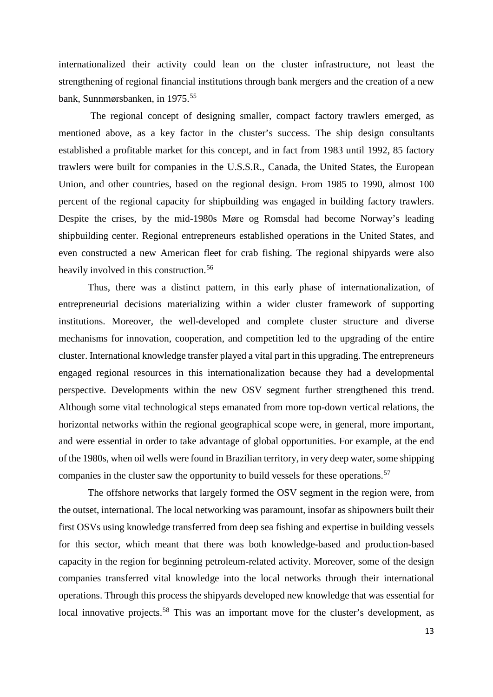internationalized their activity could lean on the cluster infrastructure, not least the strengthening of regional financial institutions through bank mergers and the creation of a new bank, Sunnmørsbanken, in 1975.[55](#page-25-0)

The regional concept of designing smaller, compact factory trawlers emerged, as mentioned above, as a key factor in the cluster's success. The ship design consultants established a profitable market for this concept, and in fact from 1983 until 1992, 85 factory trawlers were built for companies in the U.S.S.R., Canada, the United States, the European Union, and other countries, based on the regional design. From 1985 to 1990, almost 100 percent of the regional capacity for shipbuilding was engaged in building factory trawlers. Despite the crises, by the mid-1980s Møre og Romsdal had become Norway's leading shipbuilding center. Regional entrepreneurs established operations in the United States, and even constructed a new American fleet for crab fishing. The regional shipyards were also heavily involved in this construction.<sup>56</sup>

Thus, there was a distinct pattern, in this early phase of internationalization, of entrepreneurial decisions materializing within a wider cluster framework of supporting institutions. Moreover, the well-developed and complete cluster structure and diverse mechanisms for innovation, cooperation, and competition led to the upgrading of the entire cluster. International knowledge transfer played a vital part in this upgrading. The entrepreneurs engaged regional resources in this internationalization because they had a developmental perspective. Developments within the new OSV segment further strengthened this trend. Although some vital technological steps emanated from more top-down vertical relations, the horizontal networks within the regional geographical scope were, in general, more important, and were essential in order to take advantage of global opportunities. For example, at the end of the 1980s, when oil wells were found in Brazilian territory, in very deep water, some shipping companies in the cluster saw the opportunity to build vessels for these operations.<sup>[57](#page-25-1)</sup>

The offshore networks that largely formed the OSV segment in the region were, from the outset, international. The local networking was paramount, insofar as shipowners built their first OSVs using knowledge transferred from deep sea fishing and expertise in building vessels for this sector, which meant that there was both knowledge-based and production-based capacity in the region for beginning petroleum-related activity. Moreover, some of the design companies transferred vital knowledge into the local networks through their international operations. Through this process the shipyards developed new knowledge that was essential for local innovative projects.<sup>[58](#page-25-16)</sup> This was an important move for the cluster's development, as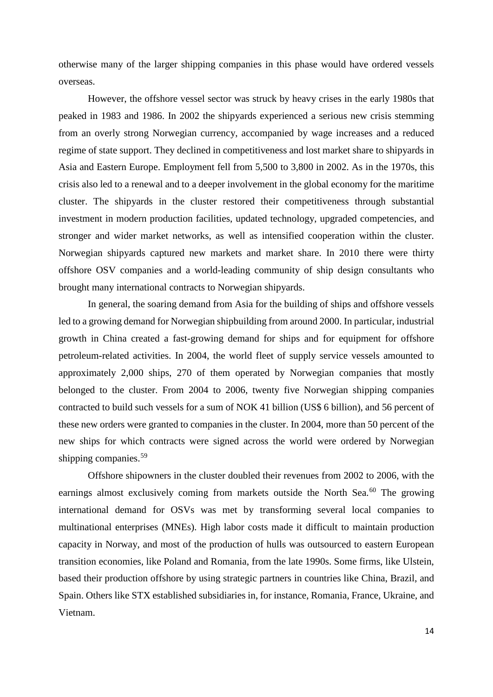otherwise many of the larger shipping companies in this phase would have ordered vessels overseas.

However, the offshore vessel sector was struck by heavy crises in the early 1980s that peaked in 1983 and 1986. In 2002 the shipyards experienced a serious new crisis stemming from an overly strong Norwegian currency, accompanied by wage increases and a reduced regime of state support. They declined in competitiveness and lost market share to shipyards in Asia and Eastern Europe. Employment fell from 5,500 to 3,800 in 2002. As in the 1970s, this crisis also led to a renewal and to a deeper involvement in the global economy for the maritime cluster. The shipyards in the cluster restored their competitiveness through substantial investment in modern production facilities, updated technology, upgraded competencies, and stronger and wider market networks, as well as intensified cooperation within the cluster. Norwegian shipyards captured new markets and market share. In 2010 there were thirty offshore OSV companies and a world-leading community of ship design consultants who brought many international contracts to Norwegian shipyards.

In general, the soaring demand from Asia for the building of ships and offshore vessels led to a growing demand for Norwegian shipbuilding from around 2000. In particular, industrial growth in China created a fast-growing demand for ships and for equipment for offshore petroleum-related activities. In 2004, the world fleet of supply service vessels amounted to approximately 2,000 ships, 270 of them operated by Norwegian companies that mostly belonged to the cluster. From 2004 to 2006, twenty five Norwegian shipping companies contracted to build such vessels for a sum of NOK 41 billion (US\$ 6 billion), and 56 percent of these new orders were granted to companies in the cluster. In 2004, more than 50 percent of the new ships for which contracts were signed across the world were ordered by Norwegian shipping companies.<sup>[59](#page-25-26)</sup>

Offshore shipowners in the cluster doubled their revenues from 2002 to 2006, with the earnings almost exclusively coming from markets outside the North Sea.<sup>[60](#page-25-27)</sup> The growing international demand for OSVs was met by transforming several local companies to multinational enterprises (MNEs). High labor costs made it difficult to maintain production capacity in Norway, and most of the production of hulls was outsourced to eastern European transition economies, like Poland and Romania, from the late 1990s. Some firms, like Ulstein, based their production offshore by using strategic partners in countries like China, Brazil, and Spain. Others like STX established subsidiaries in, for instance, Romania, France, Ukraine, and Vietnam.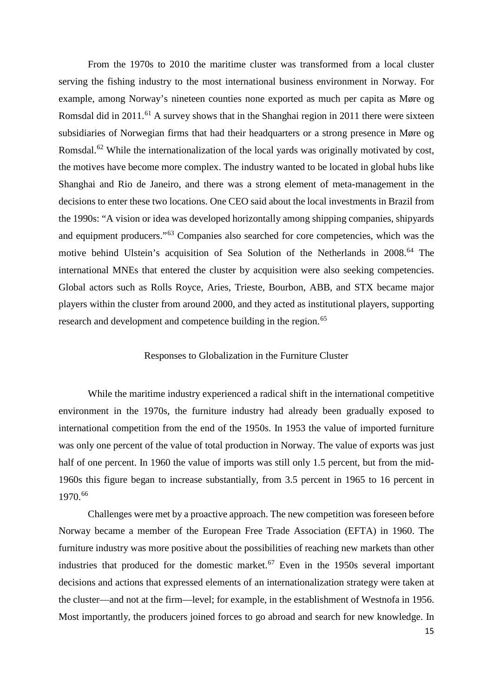From the 1970s to 2010 the maritime cluster was transformed from a local cluster serving the fishing industry to the most international business environment in Norway. For example, among Norway's nineteen counties none exported as much per capita as Møre og Romsdal did in 2011.<sup>[61](#page-25-28)</sup> A survey shows that in the Shanghai region in 2011 there were sixteen subsidiaries of Norwegian firms that had their headquarters or a strong presence in Møre og Romsdal.<sup>[62](#page-25-5)</sup> While the internationalization of the local yards was originally motivated by cost, the motives have become more complex. The industry wanted to be located in global hubs like Shanghai and Rio de Janeiro, and there was a strong element of meta-management in the decisions to enter these two locations. One CEO said about the local investments in Brazil from the 1990s: "A vision or idea was developed horizontally among shipping companies, shipyards and equipment producers."[63](#page-25-6) Companies also searched for core competencies, which was the motive behind Ulstein's acquisition of Sea Solution of the Netherlands in 2008.<sup>[64](#page-25-20)</sup> The international MNEs that entered the cluster by acquisition were also seeking competencies. Global actors such as Rolls Royce, Aries, Trieste, Bourbon, ABB, and STX became major players within the cluster from around 2000, and they acted as institutional players, supporting research and development and competence building in the region.<sup>[65](#page-25-29)</sup>

#### Responses to Globalization in the Furniture Cluster

While the maritime industry experienced a radical shift in the international competitive environment in the 1970s, the furniture industry had already been gradually exposed to international competition from the end of the 1950s. In 1953 the value of imported furniture was only one percent of the value of total production in Norway. The value of exports was just half of one percent. In 1960 the value of imports was still only 1.5 percent, but from the mid-1960s this figure began to increase substantially, from 3.5 percent in 1965 to 16 percent in 1970.[66](#page-25-8)

Challenges were met by a proactive approach. The new competition was foreseen before Norway became a member of the European Free Trade Association (EFTA) in 1960. The furniture industry was more positive about the possibilities of reaching new markets than other industries that produced for the domestic market.<sup>[67](#page-25-30)</sup> Even in the  $1950s$  several important decisions and actions that expressed elements of an internationalization strategy were taken at the cluster—and not at the firm—level; for example, in the establishment of Westnofa in 1956. Most importantly, the producers joined forces to go abroad and search for new knowledge. In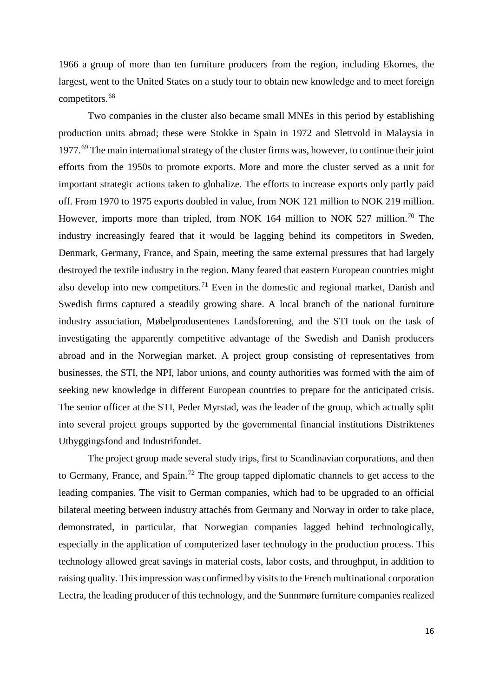1966 a group of more than ten furniture producers from the region, including Ekornes, the largest, went to the United States on a study tour to obtain new knowledge and to meet foreign competitors.<sup>[68](#page-25-31)</sup>

Two companies in the cluster also became small MNEs in this period by establishing production units abroad; these were Stokke in Spain in 1972 and Slettvold in Malaysia in  $1977<sup>69</sup>$  $1977<sup>69</sup>$  $1977<sup>69</sup>$  The main international strategy of the cluster firms was, however, to continue their joint efforts from the 1950s to promote exports. More and more the cluster served as a unit for important strategic actions taken to globalize. The efforts to increase exports only partly paid off. From 1970 to 1975 exports doubled in value, from NOK 121 million to NOK 219 million. However, imports more than tripled, from NOK 164 million to NOK 527 million.<sup>[70](#page-25-32)</sup> The industry increasingly feared that it would be lagging behind its competitors in Sweden, Denmark, Germany, France, and Spain, meeting the same external pressures that had largely destroyed the textile industry in the region. Many feared that eastern European countries might also develop into new competitors.<sup>[71](#page-25-12)</sup> Even in the domestic and regional market, Danish and Swedish firms captured a steadily growing share. A local branch of the national furniture industry association, Møbelprodusentenes Landsforening, and the STI took on the task of investigating the apparently competitive advantage of the Swedish and Danish producers abroad and in the Norwegian market. A project group consisting of representatives from businesses, the STI, the NPI, labor unions, and county authorities was formed with the aim of seeking new knowledge in different European countries to prepare for the anticipated crisis. The senior officer at the STI, Peder Myrstad, was the leader of the group, which actually split into several project groups supported by the governmental financial institutions Distriktenes Utbyggingsfond and Industrifondet.

The project group made several study trips, first to Scandinavian corporations, and then to Germany, France, and Spain.<sup>[72](#page-25-23)</sup> The group tapped diplomatic channels to get access to the leading companies. The visit to German companies, which had to be upgraded to an official bilateral meeting between industry attachés from Germany and Norway in order to take place, demonstrated, in particular, that Norwegian companies lagged behind technologically, especially in the application of computerized laser technology in the production process. This technology allowed great savings in material costs, labor costs, and throughput, in addition to raising quality. This impression was confirmed by visits to the French multinational corporation Lectra, the leading producer of this technology, and the Sunnmøre furniture companies realized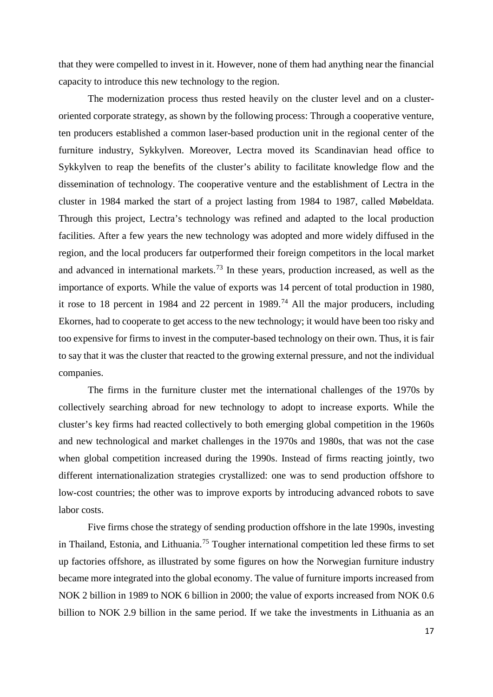that they were compelled to invest in it. However, none of them had anything near the financial capacity to introduce this new technology to the region.

The modernization process thus rested heavily on the cluster level and on a clusteroriented corporate strategy, as shown by the following process: Through a cooperative venture, ten producers established a common laser-based production unit in the regional center of the furniture industry, Sykkylven. Moreover, Lectra moved its Scandinavian head office to Sykkylven to reap the benefits of the cluster's ability to facilitate knowledge flow and the dissemination of technology. The cooperative venture and the establishment of Lectra in the cluster in 1984 marked the start of a project lasting from 1984 to 1987, called Møbeldata. Through this project, Lectra's technology was refined and adapted to the local production facilities. After a few years the new technology was adopted and more widely diffused in the region, and the local producers far outperformed their foreign competitors in the local market and advanced in international markets.<sup>[73](#page-25-24)</sup> In these years, production increased, as well as the importance of exports. While the value of exports was 14 percent of total production in 1980, it rose to 18 percent in 1984 and 22 percent in 1989.<sup>[74](#page-25-25)</sup> All the major producers, including Ekornes, had to cooperate to get access to the new technology; it would have been too risky and too expensive for firms to invest in the computer-based technology on their own. Thus, it is fair to say that it was the cluster that reacted to the growing external pressure, and not the individual companies.

The firms in the furniture cluster met the international challenges of the 1970s by collectively searching abroad for new technology to adopt to increase exports. While the cluster's key firms had reacted collectively to both emerging global competition in the 1960s and new technological and market challenges in the 1970s and 1980s, that was not the case when global competition increased during the 1990s. Instead of firms reacting jointly, two different internationalization strategies crystallized: one was to send production offshore to low-cost countries; the other was to improve exports by introducing advanced robots to save labor costs.

Five firms chose the strategy of sending production offshore in the late 1990s, investing in Thailand, Estonia, and Lithuania.<sup>[75](#page-25-14)</sup> Tougher international competition led these firms to set up factories offshore, as illustrated by some figures on how the Norwegian furniture industry became more integrated into the global economy. The value of furniture imports increased from NOK 2 billion in 1989 to NOK 6 billion in 2000; the value of exports increased from NOK 0.6 billion to NOK 2.9 billion in the same period. If we take the investments in Lithuania as an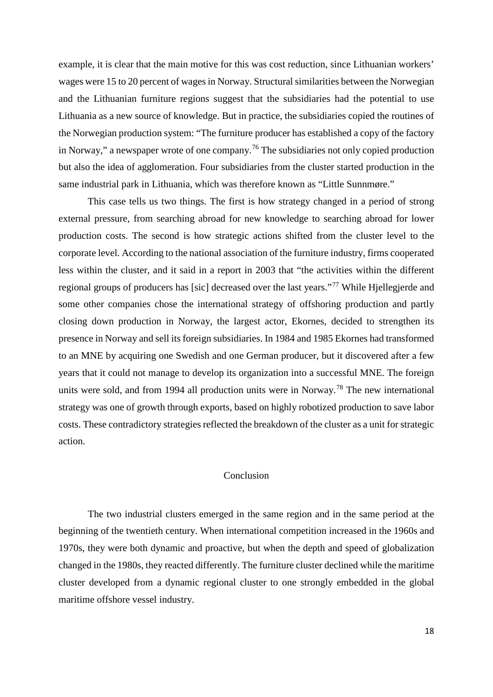example, it is clear that the main motive for this was cost reduction, since Lithuanian workers' wages were 15 to 20 percent of wages in Norway. Structural similarities between the Norwegian and the Lithuanian furniture regions suggest that the subsidiaries had the potential to use Lithuania as a new source of knowledge. But in practice, the subsidiaries copied the routines of the Norwegian production system: "The furniture producer has established a copy of the factory in Norway," a newspaper wrote of one company.<sup>[76](#page-25-33)</sup> The subsidiaries not only copied production but also the idea of agglomeration. Four subsidiaries from the cluster started production in the same industrial park in Lithuania, which was therefore known as "Little Sunnmøre."

This case tells us two things. The first is how strategy changed in a period of strong external pressure, from searching abroad for new knowledge to searching abroad for lower production costs. The second is how strategic actions shifted from the cluster level to the corporate level. According to the national association of the furniture industry, firms cooperated less within the cluster, and it said in a report in 2003 that "the activities within the different regional groups of producers has [sic] decreased over the last years."[77](#page-25-16) While Hjellegjerde and some other companies chose the international strategy of offshoring production and partly closing down production in Norway, the largest actor, Ekornes, decided to strengthen its presence in Norway and sell its foreign subsidiaries. In 1984 and 1985 Ekornes had transformed to an MNE by acquiring one Swedish and one German producer, but it discovered after a few years that it could not manage to develop its organization into a successful MNE. The foreign units were sold, and from 1994 all production units were in Norway.<sup>[78](#page-25-17)</sup> The new international strategy was one of growth through exports, based on highly robotized production to save labor costs. These contradictory strategies reflected the breakdown of the cluster as a unit for strategic action.

#### Conclusion

The two industrial clusters emerged in the same region and in the same period at the beginning of the twentieth century. When international competition increased in the 1960s and 1970s, they were both dynamic and proactive, but when the depth and speed of globalization changed in the 1980s, they reacted differently. The furniture cluster declined while the maritime cluster developed from a dynamic regional cluster to one strongly embedded in the global maritime offshore vessel industry.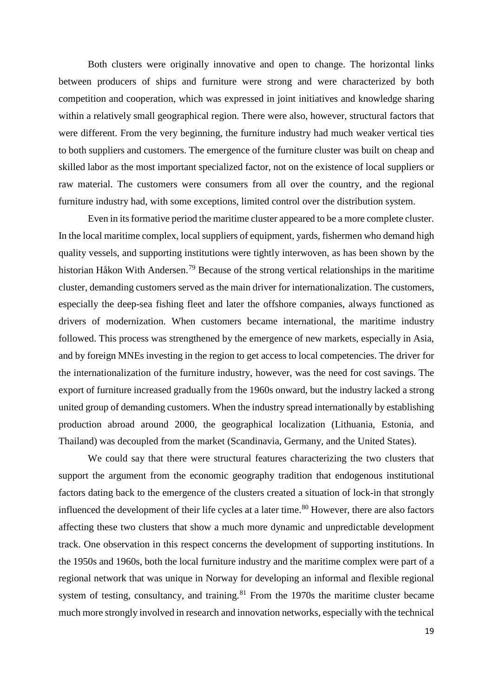Both clusters were originally innovative and open to change. The horizontal links between producers of ships and furniture were strong and were characterized by both competition and cooperation, which was expressed in joint initiatives and knowledge sharing within a relatively small geographical region. There were also, however, structural factors that were different. From the very beginning, the furniture industry had much weaker vertical ties to both suppliers and customers. The emergence of the furniture cluster was built on cheap and skilled labor as the most important specialized factor, not on the existence of local suppliers or raw material. The customers were consumers from all over the country, and the regional furniture industry had, with some exceptions, limited control over the distribution system.

Even in its formative period the maritime cluster appeared to be a more complete cluster. In the local maritime complex, local suppliers of equipment, yards, fishermen who demand high quality vessels, and supporting institutions were tightly interwoven, as has been shown by the historian Håkon With Andersen.[79](#page-25-34) Because of the strong vertical relationships in the maritime cluster, demanding customers served as the main driver for internationalization. The customers, especially the deep-sea fishing fleet and later the offshore companies, always functioned as drivers of modernization. When customers became international, the maritime industry followed. This process was strengthened by the emergence of new markets, especially in Asia, and by foreign MNEs investing in the region to get access to local competencies. The driver for the internationalization of the furniture industry, however, was the need for cost savings. The export of furniture increased gradually from the 1960s onward, but the industry lacked a strong united group of demanding customers. When the industry spread internationally by establishing production abroad around 2000, the geographical localization (Lithuania, Estonia, and Thailand) was decoupled from the market (Scandinavia, Germany, and the United States).

We could say that there were structural features characterizing the two clusters that support the argument from the economic geography tradition that endogenous institutional factors dating back to the emergence of the clusters created a situation of lock-in that strongly influenced the development of their life cycles at a later time.<sup>[80](#page-25-35)</sup> However, there are also factors affecting these two clusters that show a much more dynamic and unpredictable development track. One observation in this respect concerns the development of supporting institutions. In the 1950s and 1960s, both the local furniture industry and the maritime complex were part of a regional network that was unique in Norway for developing an informal and flexible regional system of testing, consultancy, and training. $81$  From the 1970s the maritime cluster became much more strongly involved in research and innovation networks, especially with the technical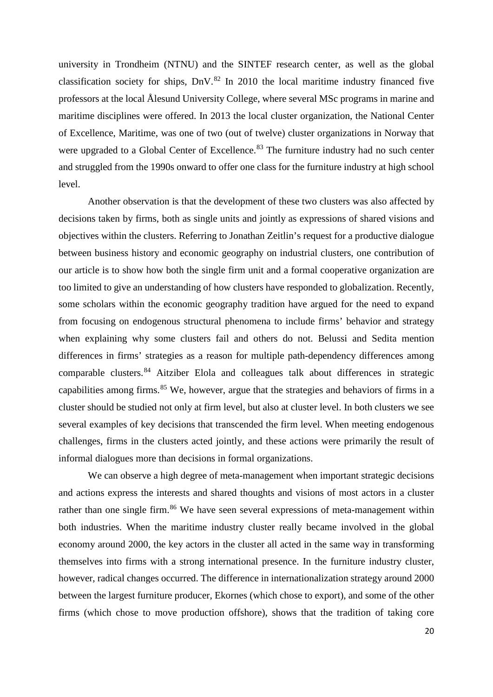university in Trondheim (NTNU) and the SINTEF research center, as well as the global classification society for ships,  $DnV^{82}$  $DnV^{82}$  $DnV^{82}$  In 2010 the local maritime industry financed five professors at the local Ålesund University College, where several MSc programs in marine and maritime disciplines were offered. In 2013 the local cluster organization, the National Center of Excellence, Maritime, was one of two (out of twelve) cluster organizations in Norway that were upgraded to a Global Center of Excellence.<sup>[83](#page-25-37)</sup> The furniture industry had no such center and struggled from the 1990s onward to offer one class for the furniture industry at high school level.

Another observation is that the development of these two clusters was also affected by decisions taken by firms, both as single units and jointly as expressions of shared visions and objectives within the clusters. Referring to Jonathan Zeitlin's request for a productive dialogue between business history and economic geography on industrial clusters, one contribution of our article is to show how both the single firm unit and a formal cooperative organization are too limited to give an understanding of how clusters have responded to globalization. Recently, some scholars within the economic geography tradition have argued for the need to expand from focusing on endogenous structural phenomena to include firms' behavior and strategy when explaining why some clusters fail and others do not. Belussi and Sedita mention differences in firms' strategies as a reason for multiple path-dependency differences among comparable clusters.[84](#page-25-38) Aitziber Elola and colleagues talk about differences in strategic capabilities among firms.<sup>[85](#page-25-26)</sup> We, however, argue that the strategies and behaviors of firms in a cluster should be studied not only at firm level, but also at cluster level. In both clusters we see several examples of key decisions that transcended the firm level. When meeting endogenous challenges, firms in the clusters acted jointly, and these actions were primarily the result of informal dialogues more than decisions in formal organizations.

We can observe a high degree of meta-management when important strategic decisions and actions express the interests and shared thoughts and visions of most actors in a cluster rather than one single firm.<sup>[86](#page-25-27)</sup> We have seen several expressions of meta-management within both industries. When the maritime industry cluster really became involved in the global economy around 2000, the key actors in the cluster all acted in the same way in transforming themselves into firms with a strong international presence. In the furniture industry cluster, however, radical changes occurred. The difference in internationalization strategy around 2000 between the largest furniture producer, Ekornes (which chose to export), and some of the other firms (which chose to move production offshore), shows that the tradition of taking core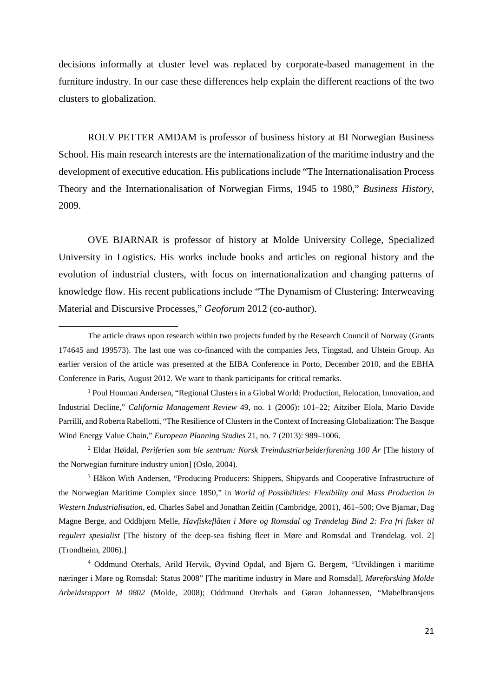decisions informally at cluster level was replaced by corporate-based management in the furniture industry. In our case these differences help explain the different reactions of the two clusters to globalization.

ROLV PETTER AMDAM is professor of business history at BI Norwegian Business School. His main research interests are the internationalization of the maritime industry and the development of executive education. His publications include "The Internationalisation Process Theory and the Internationalisation of Norwegian Firms, 1945 to 1980," *Business History*, 2009.

OVE BJARNAR is professor of history at Molde University College, Specialized University in Logistics. His works include books and articles on regional history and the evolution of industrial clusters, with focus on internationalization and changing patterns of knowledge flow. His recent publications include ["The Dynamism of Clustering: Interweaving](http://bibsys-sfx3.hosted.exlibrisgroup.com/bi?frbrVersion=6&ctx_ver=Z39.88-2004&ctx_enc=info:ofi/enc:UTF-8&ctx_tim=2015-09-01T01%3A12%3A49IST&url_ver=Z39.88-2004&url_ctx_fmt=infofi/fmt:kev:mtx:ctx&rfr_id=info:sid/primo.exlibrisgroup.com:primo3-Article-sciversesciencedirect_elsevier&rft_val_fmt=info:ofi/fmt:kev:mtx:&rft.genre=article&rft.atitle=The+dynamism+of+clustering%3A+Interweaving+material+and+discursive+processes&rft.jtitle=Geoforum&rft.btitle=&rft.aulast=Fl%C3%B8ysand&rft.auinit=&rft.auinit1=&rft.auinitm=&rft.ausuffix=&rft.au=Fl%C3%B8ysand%2C+Arnt&rft.aucorp=&rft.date=2012&rft.volume=43&rft.issue=5&rft.part=&rft.quarter=&rft.ssn=&rft.spage=948&rft.epage=958&rft.pages=948-958&rft.artnum=&rft.issn=0016-7185&rft.eissn=&rft.isbn=&rft.sici=&rft.coden=&rft_id=info:doi/10.1016%2Fj.geoforum.2012.05.002&rft.object_id=&svc_val_fmt=info:ofi/fmt:kev:mtx:sch_svc&rft_dat=%3csciversesciencedirect_elsevier%3eS0016-7185%2812%2900095-4%3c/sciversesciencedirect_elsevier%3e%3cgrp_id%3e4168236429452616278%3c/grp_id%3e%3coa%3e%3c/oa%3e&rft.eisbn=&rft_id=info:oai/&req.language=eng)  [Material and Discursive Processes,](http://bibsys-sfx3.hosted.exlibrisgroup.com/bi?frbrVersion=6&ctx_ver=Z39.88-2004&ctx_enc=info:ofi/enc:UTF-8&ctx_tim=2015-09-01T01%3A12%3A49IST&url_ver=Z39.88-2004&url_ctx_fmt=infofi/fmt:kev:mtx:ctx&rfr_id=info:sid/primo.exlibrisgroup.com:primo3-Article-sciversesciencedirect_elsevier&rft_val_fmt=info:ofi/fmt:kev:mtx:&rft.genre=article&rft.atitle=The+dynamism+of+clustering%3A+Interweaving+material+and+discursive+processes&rft.jtitle=Geoforum&rft.btitle=&rft.aulast=Fl%C3%B8ysand&rft.auinit=&rft.auinit1=&rft.auinitm=&rft.ausuffix=&rft.au=Fl%C3%B8ysand%2C+Arnt&rft.aucorp=&rft.date=2012&rft.volume=43&rft.issue=5&rft.part=&rft.quarter=&rft.ssn=&rft.spage=948&rft.epage=958&rft.pages=948-958&rft.artnum=&rft.issn=0016-7185&rft.eissn=&rft.isbn=&rft.sici=&rft.coden=&rft_id=info:doi/10.1016%2Fj.geoforum.2012.05.002&rft.object_id=&svc_val_fmt=info:ofi/fmt:kev:mtx:sch_svc&rft_dat=%3csciversesciencedirect_elsevier%3eS0016-7185%2812%2900095-4%3c/sciversesciencedirect_elsevier%3e%3cgrp_id%3e4168236429452616278%3c/grp_id%3e%3coa%3e%3c/oa%3e&rft.eisbn=&rft_id=info:oai/&req.language=eng)" *Geoforum* 2012 (co-author).

 $\overline{a}$ 

<sup>1</sup> Poul Houman Andersen, "Regional Clusters in a Global World: Production, Relocation, Innovation, and Industrial Decline," *California Management Review* 49, no. 1 (2006): 101–22; Aitziber Elola, Mario Davide Parrilli, and Roberta Rabellotti, "The Resilience of Clusters in the Context of Increasing Globalization: The Basque Wind Energy Value Chain," *European Planning Studies* 21, no. 7 (2013): 989–1006.

<sup>2</sup> Eldar Høidal, *Periferien som ble sentrum: Norsk Treindustriarbeiderforening 100 År* [The history of the Norwegian furniture industry union] (Oslo, 2004).

<sup>3</sup> Håkon With Andersen, "Producing Producers: Shippers, Shipyards and Cooperative Infrastructure of the Norwegian Maritime Complex since 1850," in *World of Possibilities: Flexibility and Mass Production in Western Industrialisation*, ed. Charles Sabel and Jonathan Zeitlin (Cambridge, 2001), 461–500; Ove Bjarnar, Dag Magne Berge, and Oddbjørn Melle, *Havfiskeflåten i Møre og Romsdal og Trøndelag Bind 2: Fra fri fisker til regulert spesialist* [The history of the deep-sea fishing fleet in Møre and Romsdal and Trøndelag. vol. 2] (Trondheim, 2006).]

<sup>4</sup> Oddmund Oterhals, Arild Hervik, Øyvind Opdal, and Bjørn G. Bergem, "Utviklingen i maritime næringer i Møre og Romsdal: Status 2008" [The maritime industry in Møre and Romsdal], *Møreforsking Molde Arbeidsrapport M 0802* (Molde, 2008); Oddmund Oterhals and Gøran Johannessen, "Møbelbransjens

The article draws upon research within two projects funded by the Research Council of Norway (Grants 174645 and 199573). The last one was co-financed with the companies Jets, Tingstad, and Ulstein Group. An earlier version of the article was presented at the EIBA Conference in Porto, December 2010, and the EBHA Conference in Paris, August 2012. We want to thank participants for critical remarks.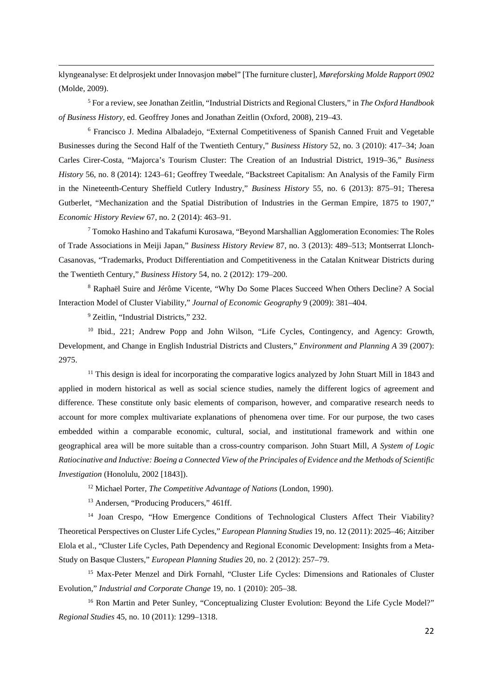klyngeanalyse: Et delprosjekt under Innovasjon møbel" [The furniture cluster], *Møreforsking Molde Rapport 0902* (Molde, 2009).

<span id="page-21-4"></span><sup>5</sup> For a review, see Jonathan Zeitlin, "Industrial Districts and Regional Clusters," in *The Oxford Handbook of Business History,* ed. Geoffrey Jones and Jonathan Zeitlin (Oxford, 2008), 219–43.

<sup>6</sup> Francisco J. Medina Albaladejo, "External Competitiveness of Spanish Canned Fruit and Vegetable Businesses during the Second Half of the Twentieth Century," *Business History* 52, no. 3 (2010): 417–34; Joan Carles Cirer-Costa, "Majorca's Tourism Cluster: The Creation of an Industrial District, 1919–36," *Business History* 56, no. 8 (2014): 1243–61; Geoffrey Tweedale, "Backstreet Capitalism: An Analysis of the Family Firm in the Nineteenth-Century Sheffield Cutlery Industry," *Business History* 55, no. 6 (2013): 875–91; Theresa Gutberlet, "Mechanization and the Spatial Distribution of Industries in the German Empire, 1875 to 1907," *Economic History Review* 67, no. 2 (2014): 463–91.

<sup>7</sup> Tomoko Hashino and Takafumi Kurosawa, "Beyond Marshallian Agglomeration Economies: The Roles of Trade Associations in Meiji Japan," *Business History Review* 87, no. 3 (2013): 489–513; Montserrat Llonch-Casanovas, "Trademarks, Product Differentiation and Competitiveness in the Catalan Knitwear Districts during the Twentieth Century," *Business History* 54, no. 2 (2012): 179–200.

<sup>8</sup> Raphaël Suire and Jérôme Vicente, "Why Do Some Places Succeed When Others Decline? A Social Interaction Model of Cluster Viability," *Journal of Economic Geography* 9 (2009): 381–404.

<sup>9</sup> Zeitlin, "Industrial Districts," 232.

**.** 

<span id="page-21-0"></span><sup>10</sup> Ibid., 221; Andrew Popp and John Wilson, "Life Cycles, Contingency, and Agency: Growth, Development, and Change in English Industrial Districts and Clusters," *Environment and Planning A* 39 (2007): 2975.

<sup>11</sup> This design is ideal for incorporating the comparative logics analyzed by John Stuart Mill in 1843 and applied in modern historical as well as social science studies, namely the different logics of agreement and difference. These constitute only basic elements of comparison, however, and comparative research needs to account for more complex multivariate explanations of phenomena over time. For our purpose, the two cases embedded within a comparable economic, cultural, social, and institutional framework and within one geographical area will be more suitable than a cross-country comparison. John Stuart Mill, *A System of Logic Ratiocinative and Inductive: Boeing a Connected View of the Principales of Evidence and the Methods of Scientific Investigation* (Honolulu, 2002 [1843]).

<sup>12</sup> Michael Porter, *The Competitive Advantage of Nations* (London, 1990).

<sup>13</sup> Andersen, "Producing Producers," 461ff.

<span id="page-21-2"></span><span id="page-21-1"></span><sup>14</sup> Joan Crespo, "How Emergence Conditions of Technological Clusters Affect Their Viability? Theoretical Perspectives on Cluster Life Cycles," *European Planning Studies* 19, no. 12 (2011): 2025–46; Aitziber Elola et al., "Cluster Life Cycles, Path Dependency and Regional Economic Development: Insights from a Meta-Study on Basque Clusters," *European Planning Studies* 20, no. 2 (2012): 257–79.

<span id="page-21-3"></span><sup>15</sup> Max-Peter Menzel and Dirk Fornahl, "Cluster Life Cycles: Dimensions and Rationales of Cluster Evolution," *Industrial and Corporate Change* 19, no. 1 (2010): 205–38.

<sup>16</sup> Ron Martin and Peter Sunley, "Conceptualizing Cluster Evolution: Beyond the Life Cycle Model?" *Regional Studies* 45, no. 10 (2011): 1299–1318.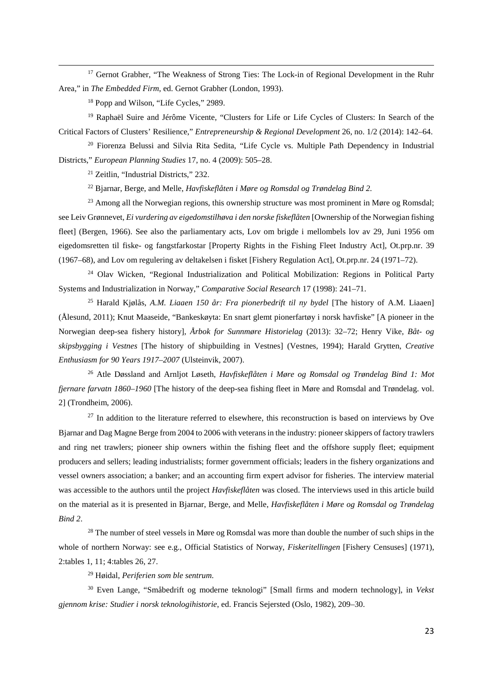<sup>17</sup> Gernot Grabher, "The Weakness of Strong Ties: The Lock-in of Regional Development in the Ruhr Area," in *The Embedded Firm*, ed. Gernot Grabher (London, 1993).

<sup>18</sup> Popp and Wilson, "Life Cycles," 2989.

**.** 

<sup>19</sup> Raphaël Suire and Jérôme Vicente, "Clusters for Life or Life Cycles of Clusters: In Search of the Critical Factors of Clusters' Resilience," *Entrepreneurship & Regional Development* 26, no. 1/2 (2014): 142–64.

<span id="page-22-0"></span><sup>20</sup> Fiorenza Belussi and Silvia Rita Sedita, "Life Cycle vs. Multiple Path Dependency in Industrial Districts," *European Planning Studies* 17, no. 4 (2009): 505–28.

<sup>21</sup> Zeitlin, "Industrial Districts," 232.

<sup>22</sup> Bjarnar, Berge, and Melle, *Havfiskeflåten i Møre og Romsdal og Trøndelag Bind 2.* 

<span id="page-22-1"></span><sup>23</sup> Among all the Norwegian regions, this ownership structure was most prominent in Møre og Romsdal; see Leiv Grønnevet, *Ei vurdering av eigedomstilhøva i den norske fiskeflåten* [Ownership of the Norwegian fishing fleet] (Bergen, 1966). See also the parliamentary acts, Lov om brigde i mellombels lov av 29, Juni 1956 om eigedomsretten til fiske- og fangstfarkostar [Property Rights in the Fishing Fleet Industry Act], Ot.prp.nr. 39 (1967–68), and Lov om regulering av deltakelsen i fisket [Fishery Regulation Act], Ot.prp.nr. 24 (1971–72).

<sup>24</sup> Olav Wicken, "Regional Industrialization and Political Mobilization: Regions in Political Party Systems and Industrialization in Norway," *Comparative Social Research* 17 (1998): 241–71.

<span id="page-22-4"></span><span id="page-22-3"></span><span id="page-22-2"></span><sup>25</sup> Harald Kjølås, *A.M. Liaaen 150 år: Fra pionerbedrift til ny bydel* [The history of A.M. Liaaen] (Ålesund, 2011); Knut Maaseide, "Bankeskøyta: En snart glemt pionerfartøy i norsk havfiske" [A pioneer in the Norwegian deep-sea fishery history], *Årbok for Sunnmøre Historielag* (2013): 32–72; Henry Vike, *Båt- og skipsbygging i Vestnes* [The history of shipbuilding in Vestnes] (Vestnes, 1994); Harald Grytten, *Creative Enthusiasm for 90 Years 1917–2007* (Ulsteinvik, 2007).

<span id="page-22-5"></span><sup>26</sup> Atle Døssland and Arnljot Løseth, *Havfiskeflåten i Møre og Romsdal og Trøndelag Bind 1: Mot fjernare farvatn 1860–1960* [The history of the deep-sea fishing fleet in Møre and Romsdal and Trøndelag. vol. 2] (Trondheim, 2006).

 $27$  In addition to the literature referred to elsewhere, this reconstruction is based on interviews by Ove Bjarnar and Dag Magne Berge from 2004 to 2006 with veterans in the industry: pioneer skippers of factory trawlers and ring net trawlers; pioneer ship owners within the fishing fleet and the offshore supply fleet; equipment producers and sellers; leading industrialists; former government officials; leaders in the fishery organizations and vessel owners association; a banker; and an accounting firm expert advisor for fisheries. The interview material was accessible to the authors until the project *Havfiskeflåten* was closed. The interviews used in this article build on the material as it is presented in Bjarnar, Berge, and Melle, *Havfiskeflåten i Møre og Romsdal og Trøndelag Bind 2*.

<span id="page-22-6"></span><sup>28</sup> The number of steel vessels in Møre og Romsdal was more than double the number of such ships in the whole of northern Norway: see e.g., Official Statistics of Norway, *Fiskeritellingen* [Fishery Censuses] (1971), 2:tables 1, 11; 4:tables 26, 27.

<sup>29</sup> Høidal, *Periferien som ble sentrum.*

<sup>30</sup> Even Lange, "Småbedrift og moderne teknologi" [Small firms and modern technology], in *Vekst gjennom krise: Studier i norsk teknologihistorie*, ed. Francis Sejersted (Oslo, 1982), 209–30.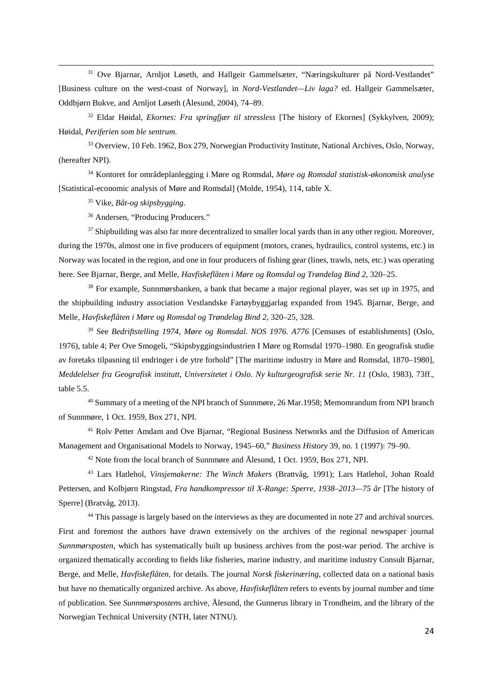<span id="page-23-4"></span><sup>31</sup> Ove Bjarnar, Arnljot Løseth, and Hallgeir Gammelsæter, "Næringskulturer på Nord-Vestlandet" [Business culture on the west-coast of Norway], in *Nord-Vestlandet—Liv laga?* ed. Hallgeir Gammelsæter, Oddbjørn Bukve, and Arnljot Løseth (Ålesund, 2004), 74–89.

<span id="page-23-6"></span><span id="page-23-5"></span><sup>32</sup> Eldar Høidal, *Ekornes: Fra springfjær til stressless* [The history of Ekornes] (Sykkylven, 2009); Høidal, *Periferien som ble sentrum.*

<span id="page-23-7"></span><sup>33</sup> Overview, 10 Feb. 1962, Box 279, Norwegian Productivity Institute, National Archives, Oslo, Norway, (hereafter NPI).

<sup>34</sup> Kontoret for områdeplanlegging i Møre og Romsdal, *Møre og Romsdal statistisk-økonomisk analyse* [Statistical-economic analysis of Møre and Romsdal] (Molde, 1954), 114, table X.

<sup>35</sup> Vike, *Båt-og skipsbygging*.

**.** 

<sup>36</sup> Andersen, "Producing Producers."

<sup>37</sup> Shipbuilding was also far more decentralized to smaller local yards than in any other region. Moreover, during the 1970s, almost one in five producers of equipment (motors, cranes, hydraulics, control systems, etc.) in Norway was located in the region, and one in four producers of fishing gear (lines, trawls, nets, etc.) was operating here. See Bjarnar, Berge, and Melle, *Havfiskeflåten i Møre og Romsdal og Trøndelag Bind 2*, 320–25.

<sup>38</sup> For example, Sunnmørsbanken, a bank that became a major regional player, was set up in 1975, and the shipbuilding industry association Vestlandske Fartøybyggjarlag expanded from 1945. Bjarnar, Berge, and Melle, *Havfiskeflåten i Møre og Romsdal og Trøndelag Bind 2*, 320–25*,* 328.

<sup>39</sup> See *Bedriftstelling 1974, Møre og Romsdal. NOS 1976. A776* [Censuses of establishments] (Oslo, 1976), table 4; Per Ove Smogeli, "Skipsbyggingsindustrien I Møre og Romsdal 1970–1980. En geografisk studie av foretaks tilpasning til endringer i de ytre forhold" [The maritime industry in Møre and Romsdal, 1870–1980], *Meddelelser fra Geografisk institutt, Universitetet i Oslo. Ny kulturgeografisk serie Nr. 11* (Oslo, 1983), 73ff., table 5.5.

<sup>40</sup> Summary of a meeting of the NPI branch of Sunnmøre, 26 Mar.1958; Memomrandum from NPI branch of Sunnmøre, 1 Oct. 1959, Box 271, NPI.

<sup>41</sup> Rolv Petter Amdam and Ove Bjarnar, "Regional Business Networks and the Diffusion of American Management and Organisational Models to Norway, 1945–60," *Business History* 39, no. 1 (1997): 79–90.

<sup>42</sup> Note from the local branch of Sunnmøre and Ålesund, 1 Oct. 1959, Box 271, NPI.

<sup>43</sup> Lars Hatlehol, *Vinsjemakerne: The Winch Makers* (Brattvåg, 1991); Lars Hatlehol, Johan Roald Pettersen, and Kolbjørn Ringstad, *Fra handkompressor til X-Range: Sperre, 1938–2013—75 år* [The history of Sperre] (Bratvåg, 2013).

<span id="page-23-3"></span><span id="page-23-2"></span><span id="page-23-1"></span><span id="page-23-0"></span><sup>44</sup> This passage is largely based on the interviews as they are documented in note 27 and archival sources. First and foremost the authors have drawn extensively on the archives of the regional newspaper journal *Sunnmørsposten*, which has systematically built up business archives from the post-war period. The archive is organized thematically according to fields like fisheries, marine industry, and maritime industry Consult Bjarnar, Berge, and Melle, *Havfiskeflåten,* for details. The journal *Norsk fiskerinæring*, collected data on a national basis but have no thematically organized archive. As above, *Havfiskeflåten* refers to events by journal number and time of publication. See *Sunnmørsposten*s archive, Ålesund, the Gunnerus library in Trondheim, and the library of the Norwegian Technical University (NTH, later NTNU).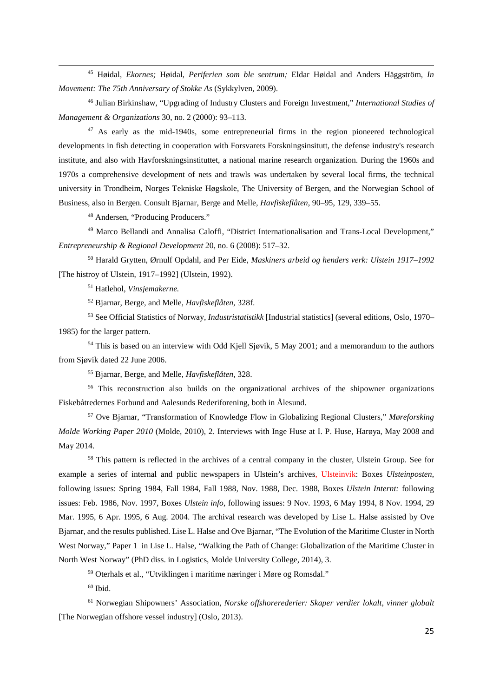<sup>45</sup> Høidal, *Ekornes;* Høidal, *Periferien som ble sentrum;* Eldar Høidal and Anders Häggström, *In Movement: The 75th Anniversary of Stokke As* (Sykkylven, 2009).

<sup>46</sup> Julian Birkinshaw, "Upgrading of Industry Clusters and Foreign Investment," *International Studies of Management & Organizations* 30, no. 2 (2000): 93–113.

<span id="page-24-0"></span><sup>47</sup> As early as the mid-1940s, some entrepreneurial firms in the region pioneered technological developments in fish detecting in cooperation with Forsvarets Forskningsinsitutt, the defense industry's research institute, and also with Havforskningsinstituttet, a national marine research organization. During the 1960s and 1970s a comprehensive development of nets and trawls was undertaken by several local firms, the technical university in Trondheim, Norges Tekniske Høgskole, The University of Bergen, and the Norwegian School of Business, also in Bergen. Consult Bjarnar, Berge and Melle, *Havfiskeflåten*, 90–95, 129, 339–55.

<sup>48</sup> Andersen, "Producing Producers."

**.** 

<span id="page-24-2"></span><span id="page-24-1"></span><sup>49</sup> Marco Bellandi and Annalisa Caloffi, "District Internationalisation and Trans-Local Development," *Entrepreneurship & Regional Development* 20, no. 6 (2008): 517–32.

<span id="page-24-3"></span><sup>50</sup> Harald Grytten, Ørnulf Opdahl, and Per Eide, *Maskiners arbeid og henders verk: Ulstein 1917–1992* [The histroy of Ulstein, 1917–1992] (Ulstein, 1992).

<sup>51</sup> Hatlehol, *Vinsjemakerne.* 

<sup>52</sup> Bjarnar, Berge, and Melle, *Havfiskeflåten,* 328f.

<span id="page-24-4"></span><sup>53</sup> See Official Statistics of Norway, *Industristatistikk* [Industrial statistics] (several editions, Oslo, 1970– 1985) for the larger pattern.

<sup>54</sup> This is based on an interview with Odd Kjell Sjøvik, 5 May 2001; and a memorandum to the authors from Sjøvik dated 22 June 2006.

<sup>55</sup> Bjarnar, Berge, and Melle, *Havfiskeflåten,* 328.

<sup>56</sup> This reconstruction also builds on the organizational archives of the shipowner organizations Fiskebåtredernes Forbund and Aalesunds Rederiforening, both in Ålesund.

<sup>57</sup> Ove Bjarnar, "Transformation of Knowledge Flow in Globalizing Regional Clusters," *Møreforsking Molde Working Paper 2010* (Molde, 2010), 2. Interviews with Inge Huse at I. P. Huse, Harøya, May 2008 and May 2014.

<sup>58</sup> This pattern is reflected in the archives of a central company in the cluster, Ulstein Group. See for example a series of internal and public newspapers in Ulstein's archives, Ulsteinvik: Boxes *Ulsteinposten*, following issues: Spring 1984, Fall 1984, Fall 1988, Nov. 1988, Dec. 1988, Boxes *Ulstein Internt:* following issues: Feb. 1986, Nov. 1997, Boxes *Ulstein info*, following issues: 9 Nov. 1993, 6 May 1994, 8 Nov. 1994, 29 Mar. 1995, 6 Apr. 1995, 6 Aug. 2004. The archival research was developed by Lise L. Halse assisted by Ove Bjarnar, and the results published. Lise L. Halse and Ove Bjarnar, "The Evolution of the Maritime Cluster in North West Norway," Paper 1 in Lise L. Halse, "Walking the Path of Change: Globalization of the Maritime Cluster in North West Norway" (PhD diss. in Logistics, Molde University College, 2014), 3.

<sup>59</sup> Oterhals et al., "Utviklingen i maritime næringer i Møre og Romsdal."

 $60$  Ibid.

<sup>61</sup> Norwegian Shipowners' Association, *Norske offshorerederier: Skaper verdier lokalt, vinner globalt* [The Norwegian offshore vessel industry] (Oslo, 2013).